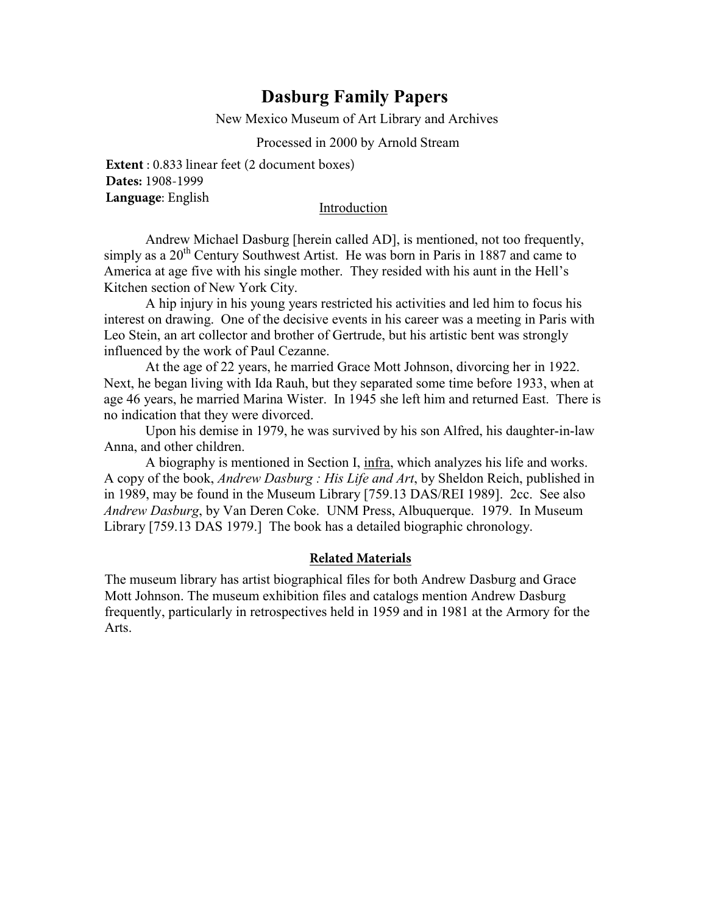# **Dasburg Family Papers**

New Mexico Museum of Art Library and Archives

#### Processed in 2000 by Arnold Stream

**Extent** : 0.833 linear feet (2 document boxes) **Dates:** 1908-1999 **Language**: English

#### Introduction

Andrew Michael Dasburg [herein called AD], is mentioned, not too frequently, simply as a  $20<sup>th</sup>$  Century Southwest Artist. He was born in Paris in 1887 and came to America at age five with his single mother. They resided with his aunt in the Hell's Kitchen section of New York City.

A hip injury in his young years restricted his activities and led him to focus his interest on drawing. One of the decisive events in his career was a meeting in Paris with Leo Stein, an art collector and brother of Gertrude, but his artistic bent was strongly influenced by the work of Paul Cezanne.

At the age of 22 years, he married Grace Mott Johnson, divorcing her in 1922. Next, he began living with Ida Rauh, but they separated some time before 1933, when at age 46 years, he married Marina Wister. In 1945 she left him and returned East. There is no indication that they were divorced.

Upon his demise in 1979, he was survived by his son Alfred, his daughter-in-law Anna, and other children.

A biography is mentioned in Section I, infra, which analyzes his life and works. A copy of the book, *Andrew Dasburg : His Life and Art*, by Sheldon Reich, published in in 1989, may be found in the Museum Library [759.13 DAS/REI 1989]. 2cc. See also *Andrew Dasburg*, by Van Deren Coke. UNM Press, Albuquerque. 1979. In Museum Library [759.13 DAS 1979.] The book has a detailed biographic chronology.

#### **Related Materials**

The museum library has artist biographical files for both Andrew Dasburg and Grace Mott Johnson. The museum exhibition files and catalogs mention Andrew Dasburg frequently, particularly in retrospectives held in 1959 and in 1981 at the Armory for the Arts.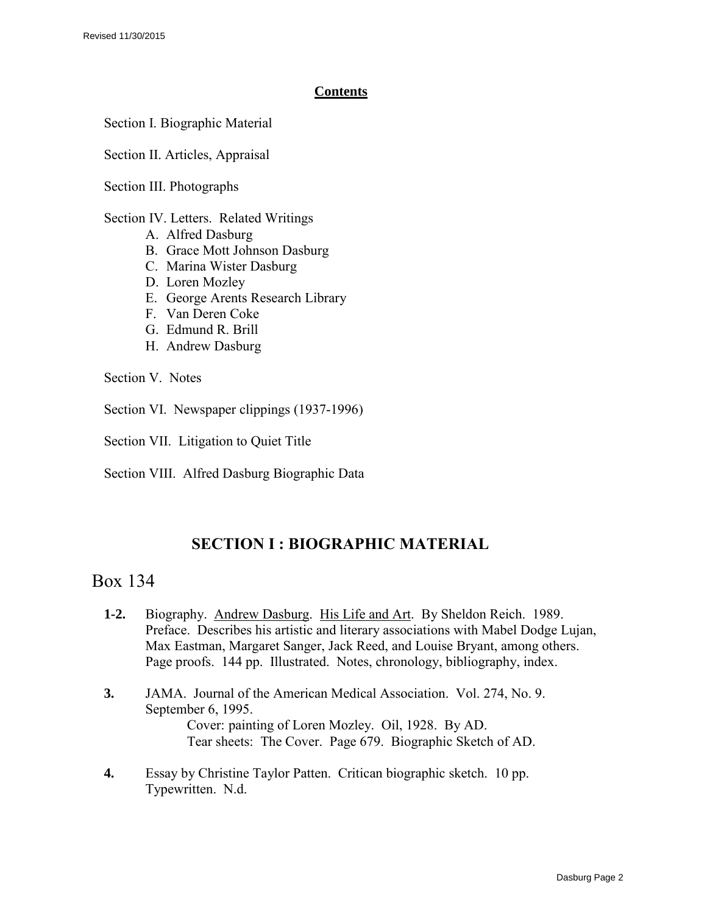### **Contents**

Section I. Biographic Material

Section II. Articles, Appraisal

Section III. Photographs

Section IV. Letters. Related Writings

- A. Alfred Dasburg
- B. Grace Mott Johnson Dasburg
- C. Marina Wister Dasburg
- D. Loren Mozley
- E. George Arents Research Library
- F. Van Deren Coke
- G. Edmund R. Brill
- H. Andrew Dasburg

Section V. Notes

Section VI. Newspaper clippings (1937-1996)

Section VII. Litigation to Quiet Title

Section VIII. Alfred Dasburg Biographic Data

# **SECTION I : BIOGRAPHIC MATERIAL**

# Box 134

- **1-2.** Biography. Andrew Dasburg. His Life and Art. By Sheldon Reich. 1989. Preface. Describes his artistic and literary associations with Mabel Dodge Lujan, Max Eastman, Margaret Sanger, Jack Reed, and Louise Bryant, among others. Page proofs. 144 pp. Illustrated. Notes, chronology, bibliography, index.
- **3.** JAMA. Journal of the American Medical Association. Vol. 274, No. 9. September 6, 1995. Cover: painting of Loren Mozley. Oil, 1928. By AD. Tear sheets: The Cover. Page 679. Biographic Sketch of AD.
- **4.** Essay by Christine Taylor Patten. Critican biographic sketch. 10 pp. Typewritten. N.d.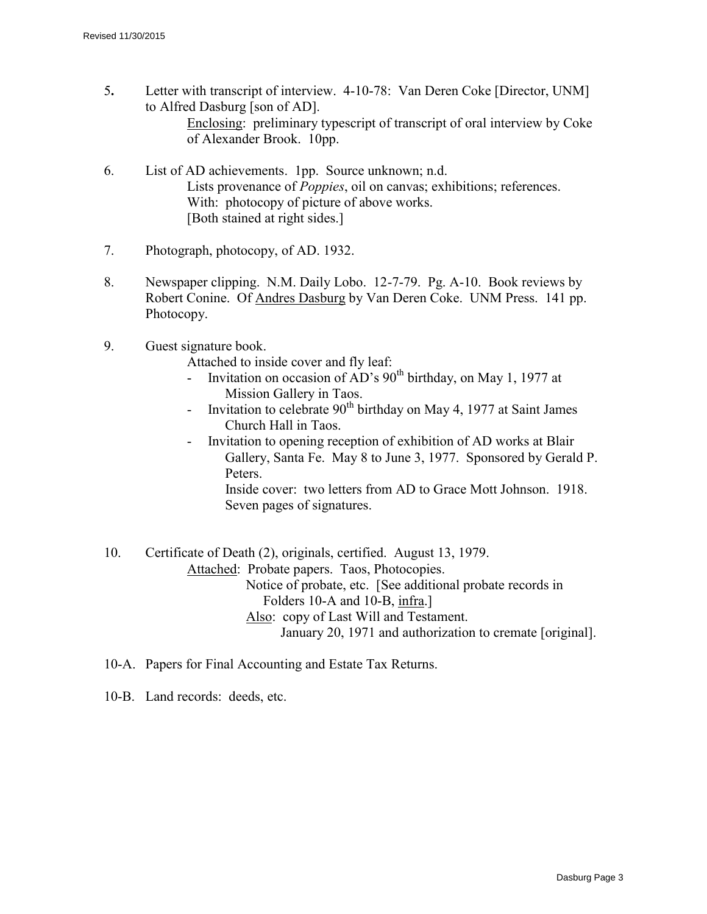- 5**.** Letter with transcript of interview. 4-10-78: Van Deren Coke [Director, UNM] to Alfred Dasburg [son of AD]. Enclosing: preliminary typescript of transcript of oral interview by Coke of Alexander Brook. 10pp.
- 6. List of AD achievements. 1pp. Source unknown; n.d. Lists provenance of *Poppies*, oil on canvas; exhibitions; references. With: photocopy of picture of above works. [Both stained at right sides.]
- 7. Photograph, photocopy, of AD. 1932.
- 8. Newspaper clipping. N.M. Daily Lobo. 12-7-79. Pg. A-10. Book reviews by Robert Conine. Of Andres Dasburg by Van Deren Coke. UNM Press. 141 pp. Photocopy.
- 9. Guest signature book.
	- Attached to inside cover and fly leaf:
		- Invitation on occasion of  $AD$ 's  $90<sup>th</sup>$  birthday, on May 1, 1977 at Mission Gallery in Taos.
	- Invitation to celebrate  $90<sup>th</sup>$  birthday on May 4, 1977 at Saint James Church Hall in Taos.
	- Invitation to opening reception of exhibition of AD works at Blair Gallery, Santa Fe. May 8 to June 3, 1977. Sponsored by Gerald P. Peters. Inside cover: two letters from AD to Grace Mott Johnson. 1918.

Seven pages of signatures.

10. Certificate of Death (2), originals, certified. August 13, 1979. Attached: Probate papers. Taos, Photocopies. Notice of probate, etc. [See additional probate records in Folders 10-A and 10-B, infra.] Also: copy of Last Will and Testament. January 20, 1971 and authorization to cremate [original].

- 10-A. Papers for Final Accounting and Estate Tax Returns.
- 10-B. Land records: deeds, etc.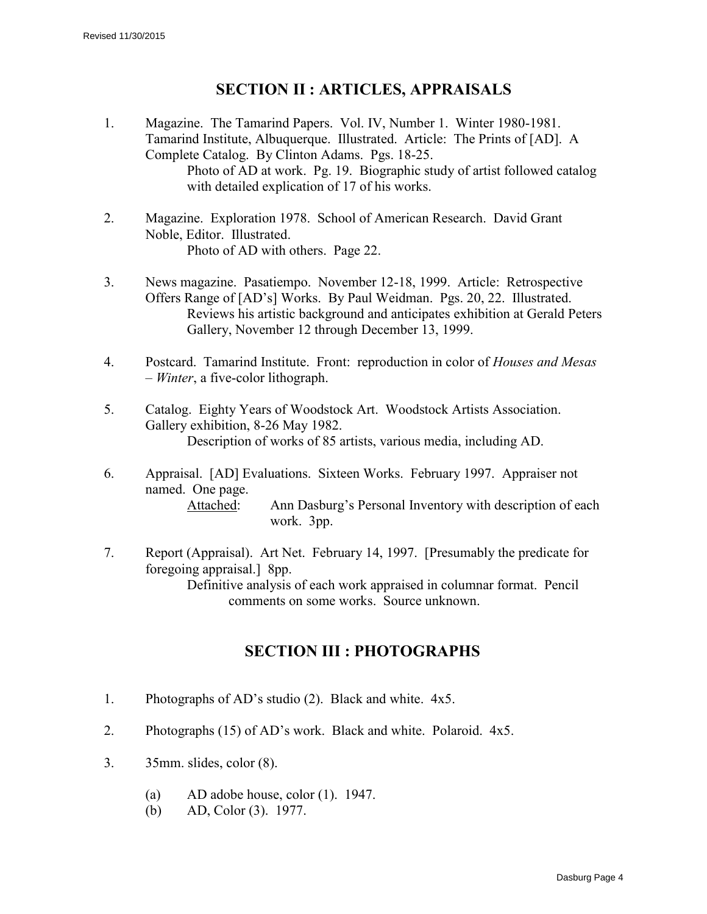# **SECTION II : ARTICLES, APPRAISALS**

- 1. Magazine. The Tamarind Papers. Vol. IV, Number 1. Winter 1980-1981. Tamarind Institute, Albuquerque. Illustrated. Article: The Prints of [AD]. A Complete Catalog. By Clinton Adams. Pgs. 18-25. Photo of AD at work. Pg. 19. Biographic study of artist followed catalog with detailed explication of 17 of his works.
- 2. Magazine. Exploration 1978. School of American Research. David Grant Noble, Editor. Illustrated. Photo of AD with others. Page 22.
- 3. News magazine. Pasatiempo. November 12-18, 1999. Article: Retrospective Offers Range of [AD's] Works. By Paul Weidman. Pgs. 20, 22. Illustrated. Reviews his artistic background and anticipates exhibition at Gerald Peters Gallery, November 12 through December 13, 1999.
- 4. Postcard. Tamarind Institute. Front: reproduction in color of *Houses and Mesas – Winter*, a five-color lithograph.
- 5. Catalog. Eighty Years of Woodstock Art. Woodstock Artists Association. Gallery exhibition, 8-26 May 1982. Description of works of 85 artists, various media, including AD.
- 6. Appraisal. [AD] Evaluations. Sixteen Works. February 1997. Appraiser not named. One page. Attached: Ann Dasburg's Personal Inventory with description of each work. 3pp.
- 7. Report (Appraisal). Art Net. February 14, 1997. [Presumably the predicate for foregoing appraisal.] 8pp.

Definitive analysis of each work appraised in columnar format. Pencil comments on some works. Source unknown.

# **SECTION III : PHOTOGRAPHS**

- 1. Photographs of AD's studio (2). Black and white. 4x5.
- 2. Photographs (15) of AD's work. Black and white. Polaroid. 4x5.
- 3. 35mm. slides, color (8).
	- (a) AD adobe house, color (1). 1947.
	- (b) AD, Color (3). 1977.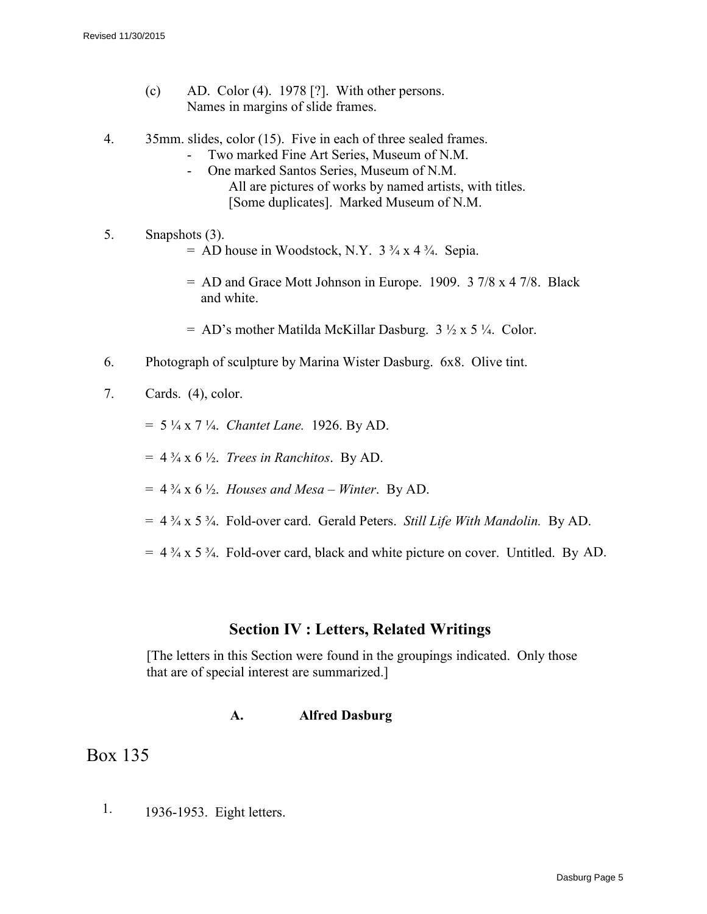- (c) AD. Color  $(4)$ . 1978 [?]. With other persons. Names in margins of slide frames.
- 4. 35mm. slides, color (15). Five in each of three sealed frames.
	- Two marked Fine Art Series, Museum of N.M.
	- One marked Santos Series, Museum of N.M. All are pictures of works by named artists, with titles. [Some duplicates]. Marked Museum of N.M.
- 5. Snapshots (3).  $=$  AD house in Woodstock, N.Y.  $3\frac{3}{4} \times 4\frac{3}{4}$ . Sepia.
	-
	- = AD and Grace Mott Johnson in Europe. 1909. 3 7/8 x 4 7/8. Black and white.
	- $= AD's$  mother Matilda McKillar Dasburg.  $3\frac{1}{2} \times 5\frac{1}{4}$ . Color.
- 6. Photograph of sculpture by Marina Wister Dasburg. 6x8. Olive tint.
- 7. Cards. (4), color.
	- = 5 ¼ x 7 ¼. *Chantet Lane.* 1926. By AD.
	- $=$  4  $\frac{3}{4}$  x 6  $\frac{1}{2}$ . *Trees in Ranchitos.* By AD.
	- $= 4\frac{3}{4}$  x 6  $\frac{1}{2}$ . *Houses and Mesa Winter*. By AD.
	- = 4 ¾ x 5 ¾. Fold-over card. Gerald Peters. *Still Life With Mandolin.* By AD.
	- $= 4\frac{3}{4}$  x 5  $\frac{3}{4}$ . Fold-over card, black and white picture on cover. Untitled. By AD.

# **Section IV : Letters, Related Writings**

[The letters in this Section were found in the groupings indicated. Only those that are of special interest are summarized.]

### **A. Alfred Dasburg**

# Box 135

1. 1936-1953. Eight letters.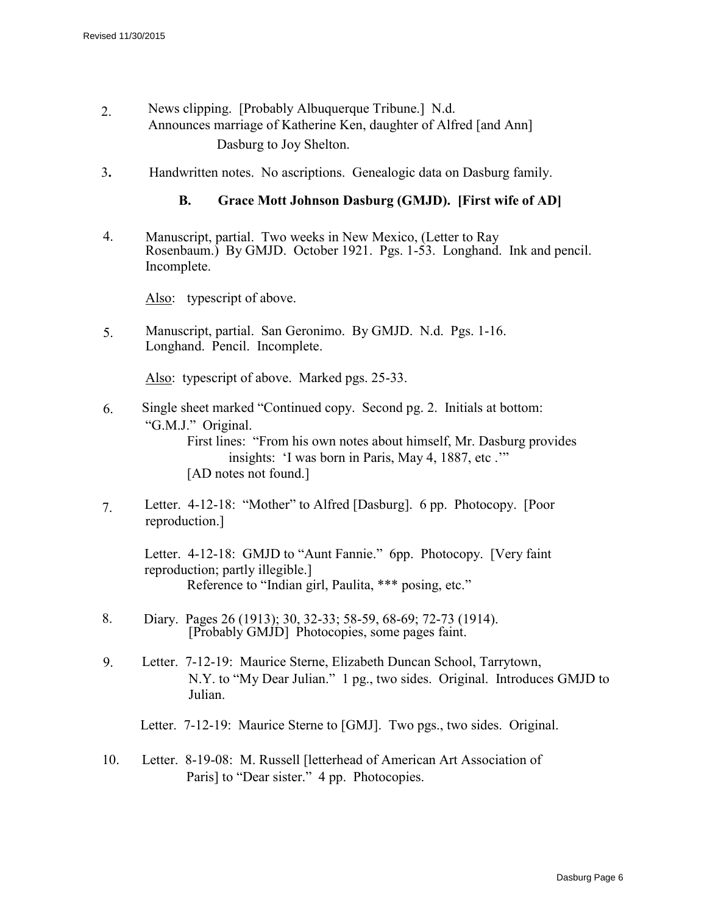- 2. News clipping. [Probably Albuquerque Tribune.] N.d. Announces marriage of Katherine Ken, daughter of Alfred [and Ann] Dasburg to Joy Shelton.
- 3**.** Handwritten notes. No ascriptions. Genealogic data on Dasburg family.

#### **B. Grace Mott Johnson Dasburg (GMJD). [First wife of AD]**

4. Manuscript, partial. Two weeks in New Mexico, (Letter to Ray Rosenbaum.) By GMJD. October 1921. Pgs. 1-53. Longhand. Ink and pencil. Incomplete.

Also: typescript of above.

5. Manuscript, partial. San Geronimo. By GMJD. N.d. Pgs. 1-16. Longhand. Pencil. Incomplete.

Also: typescript of above. Marked pgs. 25-33.

- 6. Single sheet marked "Continued copy. Second pg. 2. Initials at bottom: "G.M.J." Original. First lines: "From his own notes about himself, Mr. Dasburg provides insights: 'I was born in Paris, May 4, 1887, etc .'" [AD notes not found.]
- 7. Letter. 4-12-18: "Mother" to Alfred [Dasburg]. 6 pp. Photocopy. [Poor reproduction.]

Letter. 4-12-18: GMJD to "Aunt Fannie." 6pp. Photocopy. [Very faint reproduction; partly illegible.] Reference to "Indian girl, Paulita, \*\*\* posing, etc."

- 8. Diary. Pages 26 (1913); 30, 32-33; 58-59, 68-69; 72-73 (1914). [Probably GMJD] Photocopies, some pages faint.
- 9. Letter. 7-12-19: Maurice Sterne, Elizabeth Duncan School, Tarrytown, N.Y. to "My Dear Julian." 1 pg., two sides. Original. Introduces GMJD to Julian.

Letter. 7-12-19: Maurice Sterne to [GMJ]. Two pgs., two sides. Original.

10. Letter. 8-19-08: M. Russell [letterhead of American Art Association of Paris] to "Dear sister." 4 pp. Photocopies.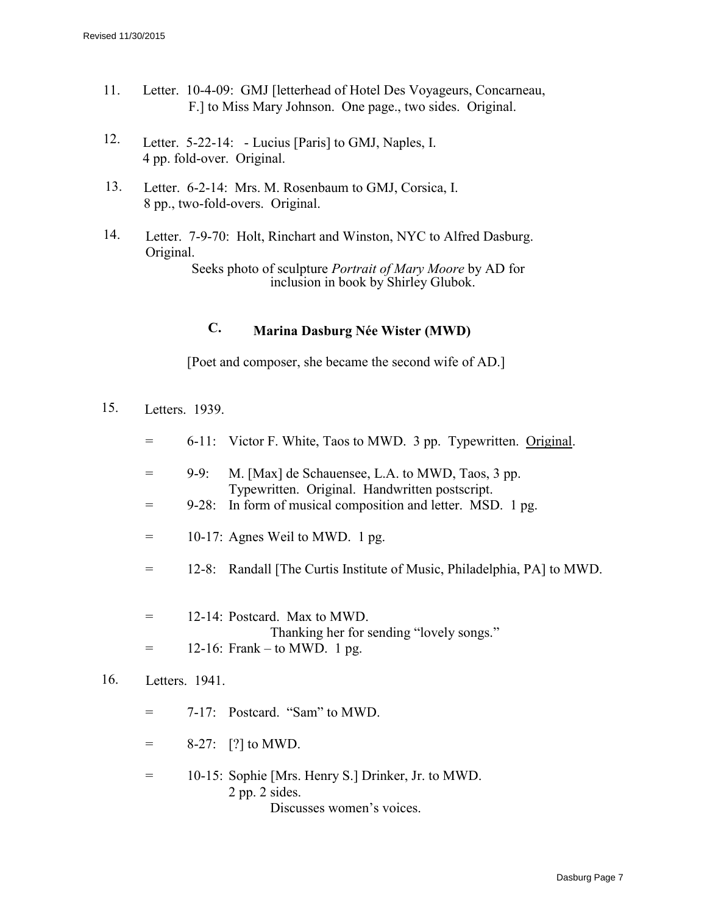- 11. Letter. 10-4-09: GMJ [letterhead of Hotel Des Voyageurs, Concarneau, F.] to Miss Mary Johnson. One page., two sides. Original.
- 12. Letter. 5-22-14: Lucius [Paris] to GMJ, Naples, I. 4 pp. fold-over. Original.
- 13. Letter. 6-2-14: Mrs. M. Rosenbaum to GMJ, Corsica, I. 8 pp., two-fold-overs. Original.
- 14. Letter. 7-9-70: Holt, Rinchart and Winston, NYC to Alfred Dasburg. Original. Seeks photo of sculpture *Portrait of Mary Moore* by AD for

inclusion in book by Shirley Glubok.

## **C. Marina Dasburg Née Wister (MWD)**

[Poet and composer, she became the second wife of AD.]

- 15. Letters. 1939.
	- = 6-11: Victor F. White, Taos to MWD. 3 pp. Typewritten. Original.
	- = 9-9: M. [Max] de Schauensee, L.A. to MWD, Taos, 3 pp. Typewritten. Original. Handwritten postscript.
	- = 9-28: In form of musical composition and letter. MSD. 1 pg.
	- $=$  10-17: Agnes Weil to MWD. 1 pg.
	- = 12-8: Randall [The Curtis Institute of Music, Philadelphia, PA] to MWD.
	- $=$  12-14: Postcard. Max to MWD. Thanking her for sending "lovely songs."  $=$  12-16: Frank – to MWD. 1 pg.

## 16. Letters. 1941.

- $= 7-17$ : Postcard. "Sam" to MWD.
- $=$  8-27: [?] to MWD.
- = 10-15: Sophie [Mrs. Henry S.] Drinker, Jr. to MWD. 2 pp. 2 sides. Discusses women's voices.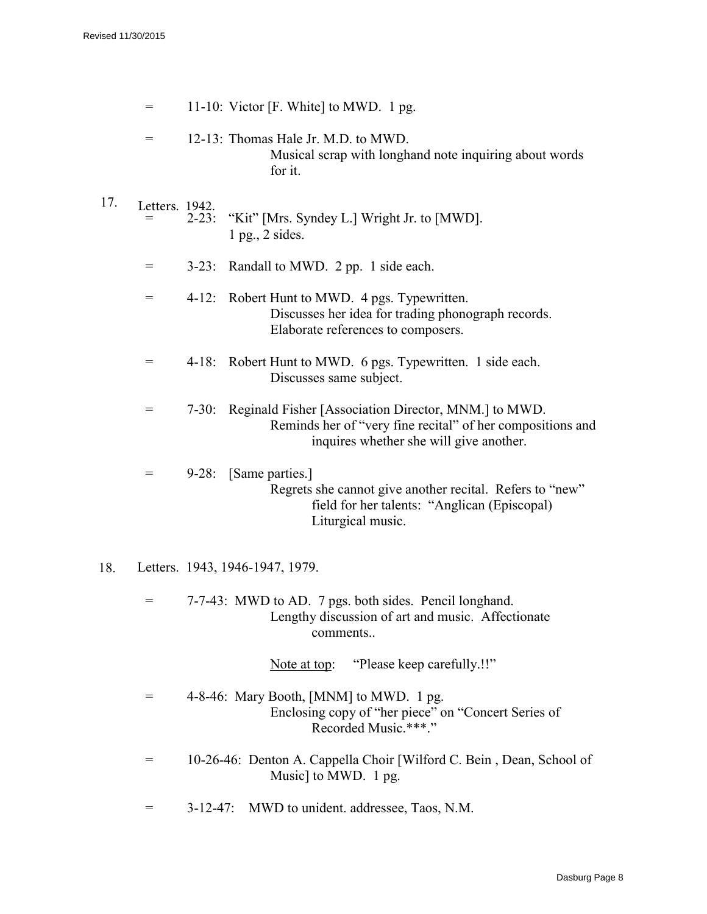|     | $=$            |            | 11-10: Victor [F. White] to MWD. 1 pg.                                                                                                                        |
|-----|----------------|------------|---------------------------------------------------------------------------------------------------------------------------------------------------------------|
|     | $=$            |            | 12-13: Thomas Hale Jr. M.D. to MWD.<br>Musical scrap with longhand note inquiring about words<br>for it.                                                      |
| 17. | Letters. 1942. | $2 - 23$ : | "Kit" [Mrs. Syndey L.] Wright Jr. to [MWD].<br>1 pg., 2 sides.                                                                                                |
|     | $=$            |            | 3-23: Randall to MWD. 2 pp. 1 side each.                                                                                                                      |
|     | $=$            | $4 - 12$ : | Robert Hunt to MWD. 4 pgs. Typewritten.<br>Discusses her idea for trading phonograph records.<br>Elaborate references to composers.                           |
|     | $=$            | $4 - 18:$  | Robert Hunt to MWD. 6 pgs. Typewritten. 1 side each.<br>Discusses same subject.                                                                               |
|     | $=$            | $7 - 30:$  | Reginald Fisher [Association Director, MNM.] to MWD.<br>Reminds her of "very fine recital" of her compositions and<br>inquires whether she will give another. |
|     | $=$            | $9 - 28:$  | [Same parties.]<br>Regrets she cannot give another recital. Refers to "new"<br>field for her talents: "Anglican (Episcopal)<br>Liturgical music.              |

### 18. Letters. 1943, 1946-1947, 1979.

= 7-7-43: MWD to AD. 7 pgs. both sides. Pencil longhand. Lengthy discussion of art and music. Affectionate comments..

Note at top: "Please keep carefully.!!"

- = 4-8-46: Mary Booth, [MNM] to MWD. 1 pg. Enclosing copy of "her piece" on "Concert Series of Recorded Music.\*\*\*."
- = 10-26-46: Denton A. Cappella Choir [Wilford C. Bein , Dean, School of Music] to MWD. 1 pg.
- = 3-12-47: MWD to unident. addressee, Taos, N.M.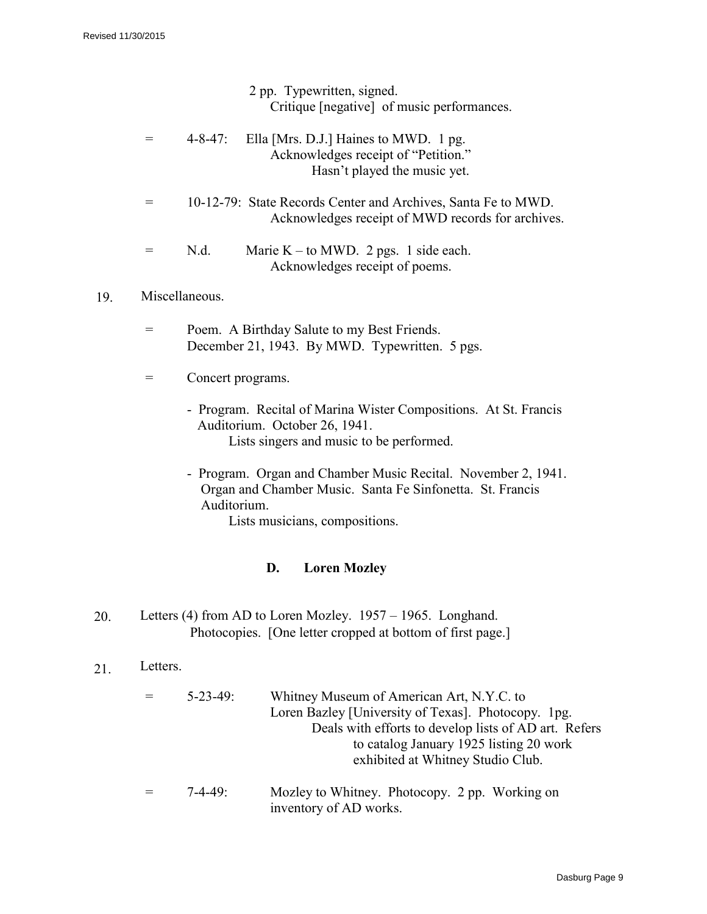2 pp. Typewritten, signed. Critique [negative] of music performances.

- $=$  4-8-47: Ella [Mrs. D.J.] Haines to MWD. 1 pg. Acknowledges receipt of "Petition." Hasn't played the music yet.
- = 10-12-79: State Records Center and Archives, Santa Fe to MWD. Acknowledges receipt of MWD records for archives.

| $=$ | N.d. | Marie K – to MWD. 2 pgs. 1 side each. |  |
|-----|------|---------------------------------------|--|
|     |      | Acknowledges receipt of poems.        |  |

### 19. Miscellaneous.

- = Poem. A Birthday Salute to my Best Friends. December 21, 1943. By MWD. Typewritten. 5 pgs.
- = Concert programs.
	- Program. Recital of Marina Wister Compositions. At St. Francis Auditorium. October 26, 1941. Lists singers and music to be performed.
	- Program. Organ and Chamber Music Recital. November 2, 1941. Organ and Chamber Music. Santa Fe Sinfonetta. St. Francis Auditorium.

Lists musicians, compositions.

## **D. Loren Mozley**

- 20. Letters (4) from AD to Loren Mozley. 1957 1965. Longhand. Photocopies. [One letter cropped at bottom of first page.]
- 21 Letters.

| $5 - 23 - 49$ | Whitney Museum of American Art, N.Y.C. to                                |
|---------------|--------------------------------------------------------------------------|
|               | Loren Bazley [University of Texas]. Photocopy. 1pg.                      |
|               | Deals with efforts to develop lists of AD art. Refers                    |
|               | to catalog January 1925 listing 20 work                                  |
|               | exhibited at Whitney Studio Club.                                        |
| $7-4-49$      | Mozley to Whitney. Photocopy. 2 pp. Working on<br>inventory of AD works. |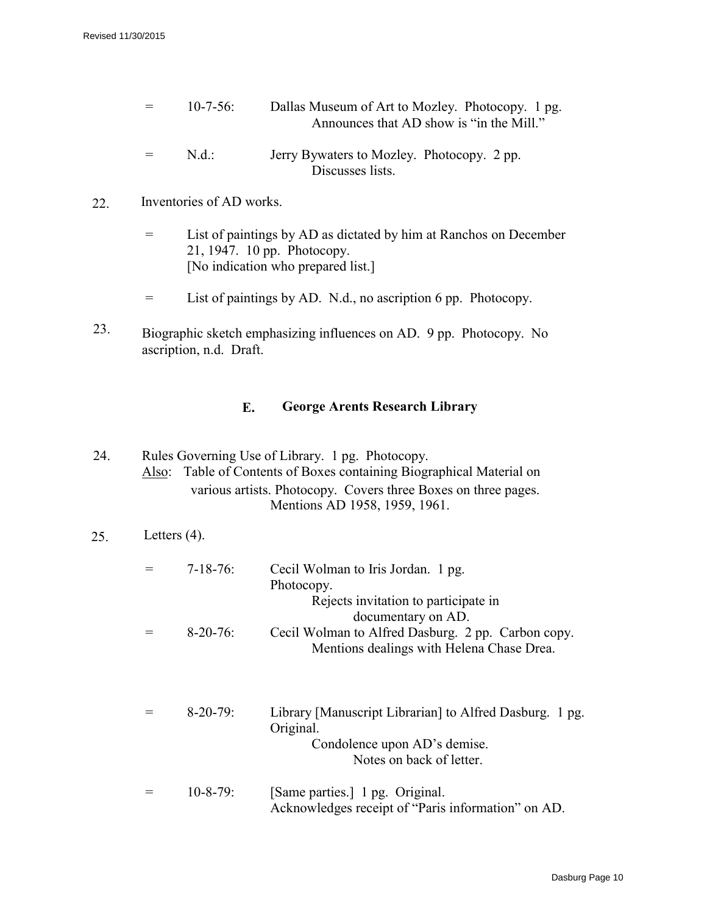- = 10-7-56: Dallas Museum of Art to Mozley. Photocopy. 1 pg. Announces that AD show is "in the Mill."
- = N.d.: Jerry Bywaters to Mozley. Photocopy. 2 pp. Discusses lists.
- 22. Inventories of AD works.
	- = List of paintings by AD as dictated by him at Ranchos on December 21, 1947. 10 pp. Photocopy. [No indication who prepared list.]
	- = List of paintings by AD. N.d., no ascription 6 pp. Photocopy.
- 23. Biographic sketch emphasizing influences on AD. 9 pp. Photocopy. No ascription, n.d. Draft.

## **E. George Arents Research Library**

24. Rules Governing Use of Library. 1 pg. Photocopy. Also: Table of Contents of Boxes containing Biographical Material on various artists. Photocopy. Covers three Boxes on three pages. Mentions AD 1958, 1959, 1961.

```
25. Letters (4).
```

| $7 - 18 - 76$ : | Cecil Wolman to Iris Jordan. 1 pg.<br>Photocopy.<br>Rejects invitation to participate in                                       |
|-----------------|--------------------------------------------------------------------------------------------------------------------------------|
| $8-20-76$ :     | documentary on AD.<br>Cecil Wolman to Alfred Dasburg. 2 pp. Carbon copy.<br>Mentions dealings with Helena Chase Drea.          |
| $8-20-79$ :     | Library Manuscript Librarian to Alfred Dasburg. 1 pg.<br>Original.<br>Condolence upon AD's demise.<br>Notes on back of letter. |
| $10 - 8 - 79$ : | [Same parties.] 1 pg. Original.<br>Acknowledges receipt of "Paris information" on AD.                                          |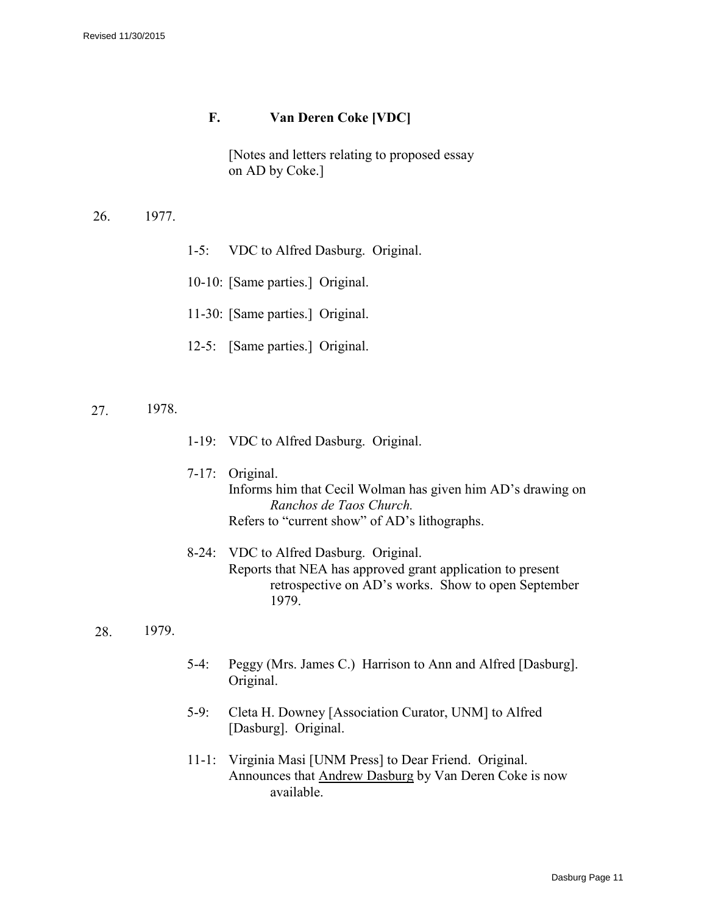## **F. Van Deren Coke [VDC]**

[Notes and letters relating to proposed essay on AD by Coke.]

- 26. 1977.
- 1-5: VDC to Alfred Dasburg. Original.
- 10-10: [Same parties.] Original.
- 11-30: [Same parties.] Original.
- 12-5: [Same parties.] Original.
- 27. 1978.
- 1-19: VDC to Alfred Dasburg. Original.
- 7-17: Original. Informs him that Cecil Wolman has given him AD's drawing on *Ranchos de Taos Church.*  Refers to "current show" of AD's lithographs.
- 8-24: VDC to Alfred Dasburg. Original. Reports that NEA has approved grant application to present retrospective on AD's works. Show to open September 1979.
- 28. 1979.
- 5-4: Peggy (Mrs. James C.) Harrison to Ann and Alfred [Dasburg]. Original.
- 5-9: Cleta H. Downey [Association Curator, UNM] to Alfred [Dasburg]. Original.
- 11-1: Virginia Masi [UNM Press] to Dear Friend. Original. Announces that Andrew Dasburg by Van Deren Coke is now available.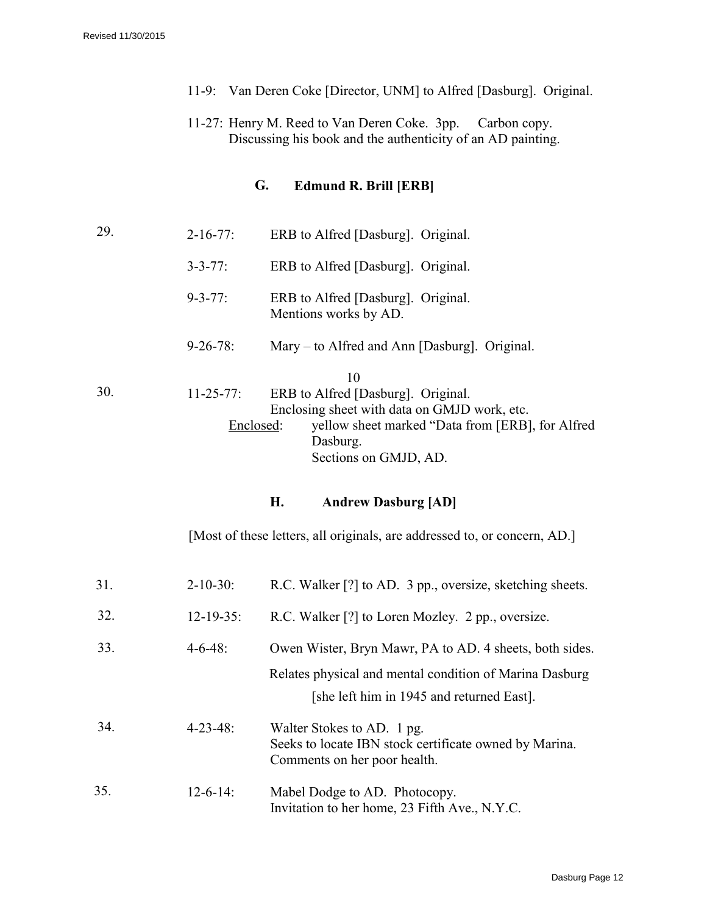- 11-9: Van Deren Coke [Director, UNM] to Alfred [Dasburg]. Original.
- 11-27: Henry M. Reed to Van Deren Coke. 3pp. Carbon copy. Discussing his book and the authenticity of an AD painting.

## **G. Edmund R. Brill [ERB]**

29. 2-16-77: ERB to Alfred [Dasburg]. Original. 3-3-77: ERB to Alfred [Dasburg]. Original. 9-3-77: ERB to Alfred [Dasburg]. Original. Mentions works by AD. 9-26-78: Mary – to Alfred and Ann [Dasburg]. Original. 10 30. 11-25-77: ERB to Alfred [Dasburg]. Original. Enclosing sheet with data on GMJD work, etc. Enclosed: yellow sheet marked "Data from [ERB], for Alfred Dasburg. Sections on GMJD, AD.

### **H. Andrew Dasburg [AD]**

[Most of these letters, all originals, are addressed to, or concern, AD.]

| 31. | $2 - 10 - 30$ :  | R.C. Walker [?] to AD. 3 pp., oversize, sketching sheets.                                                            |
|-----|------------------|----------------------------------------------------------------------------------------------------------------------|
| 32. | $12 - 19 - 35$ : | R.C. Walker [?] to Loren Mozley. 2 pp., oversize.                                                                    |
| 33. | $4 - 6 - 48$ :   | Owen Wister, Bryn Mawr, PA to AD. 4 sheets, both sides.                                                              |
|     |                  | Relates physical and mental condition of Marina Dasburg<br>[she left him in 1945 and returned East].                 |
| 34. | $4 - 23 - 48$ :  | Walter Stokes to AD. 1 pg.<br>Seeks to locate IBN stock certificate owned by Marina.<br>Comments on her poor health. |
| 35. | $12 - 6 - 14$ :  | Mabel Dodge to AD. Photocopy.<br>Invitation to her home, 23 Fifth Ave., N.Y.C.                                       |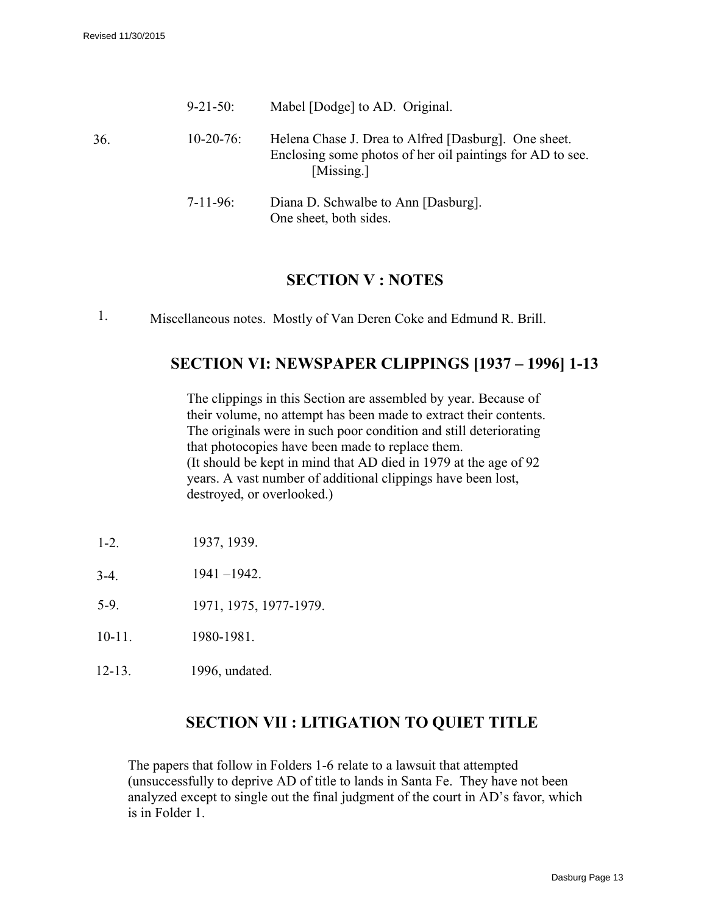|     | $9 - 21 - 50$ : | Mabel [Dodge] to AD. Original.                                                                                                  |
|-----|-----------------|---------------------------------------------------------------------------------------------------------------------------------|
| 36. | $10-20-76$ :    | Helena Chase J. Drea to Alfred [Dasburg]. One sheet.<br>Enclosing some photos of her oil paintings for AD to see.<br>[Missing.] |
|     | $7 - 11 - 96$ : | Diana D. Schwalbe to Ann [Dasburg].<br>One sheet, both sides.                                                                   |

## **SECTION V : NOTES**

1. Miscellaneous notes. Mostly of Van Deren Coke and Edmund R. Brill.

# **SECTION VI: NEWSPAPER CLIPPINGS [1937 – 1996] 1-13**

The clippings in this Section are assembled by year. Because of their volume, no attempt has been made to extract their contents. The originals were in such poor condition and still deteriorating that photocopies have been made to replace them. (It should be kept in mind that AD died in 1979 at the age of 92 years. A vast number of additional clippings have been lost, destroyed, or overlooked.)

- 1-2. 1937, 1939.
- $3-4.$  1941 –1942.
- 5-9. 1971, 1975, 1977-1979.
- 10-11. 1980-1981.
- 12-13. 1996, undated.

## **SECTION VII : LITIGATION TO QUIET TITLE**

The papers that follow in Folders 1-6 relate to a lawsuit that attempted (unsuccessfully to deprive AD of title to lands in Santa Fe. They have not been analyzed except to single out the final judgment of the court in AD's favor, which is in Folder 1.